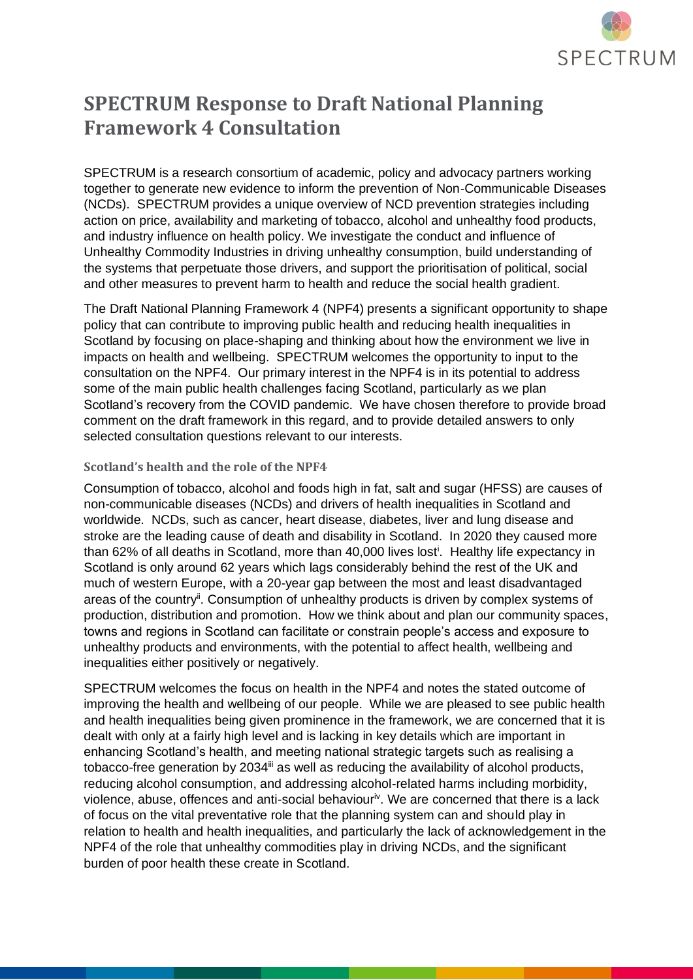

## **SPECTRUM Response to Draft National Planning Framework 4 Consultation**

SPECTRUM is a research consortium of academic, policy and advocacy partners working together to generate new evidence to inform the prevention of Non-Communicable Diseases (NCDs). SPECTRUM provides a unique overview of NCD prevention strategies including action on price, availability and marketing of tobacco, alcohol and unhealthy food products, and industry influence on health policy. We investigate the conduct and influence of Unhealthy Commodity Industries in driving unhealthy consumption, build understanding of the systems that perpetuate those drivers, and support the prioritisation of political, social and other measures to prevent harm to health and reduce the social health gradient.

The Draft National Planning Framework 4 (NPF4) presents a significant opportunity to shape policy that can contribute to improving public health and reducing health inequalities in Scotland by focusing on place-shaping and thinking about how the environment we live in impacts on health and wellbeing. SPECTRUM welcomes the opportunity to input to the consultation on the NPF4. Our primary interest in the NPF4 is in its potential to address some of the main public health challenges facing Scotland, particularly as we plan Scotland's recovery from the COVID pandemic. We have chosen therefore to provide broad comment on the draft framework in this regard, and to provide detailed answers to only selected consultation questions relevant to our interests.

## **Scotland's health and the role of the NPF4**

Consumption of tobacco, alcohol and foods high in fat, salt and sugar (HFSS) are causes of non-communicable diseases (NCDs) and drivers of health inequalities in Scotland and worldwide. NCDs, such as cancer, heart disease, diabetes, liver and lung disease and stroke are the leading cause of death and disability in Scotland. In 2020 they caused more than 62% of all deaths in Scotland, more than 40,000 lives lost<sup>i</sup>. Healthy life expectancy in Scotland is only around 62 years which lags considerably behind the rest of the UK and much of western Europe, with a 20-year gap between the most and least disadvantaged areas of the country<sup>ii</sup>. Consumption of unhealthy products is driven by complex systems of production, distribution and promotion. How we think about and plan our community spaces, towns and regions in Scotland can facilitate or constrain people's access and exposure to unhealthy products and environments, with the potential to affect health, wellbeing and inequalities either positively or negatively.

SPECTRUM welcomes the focus on health in the NPF4 and notes the stated outcome of improving the health and wellbeing of our people. While we are pleased to see public health and health inequalities being given prominence in the framework, we are concerned that it is dealt with only at a fairly high level and is lacking in key details which are important in enhancing Scotland's health, and meeting national strategic targets such as realising a tobacco-free generation by 2034<sup>ii</sup> as well as reducing the availability of alcohol products, reducing alcohol consumption, and addressing alcohol-related harms including morbidity, violence, abuse, offences and anti-social behaviour<sup>iv</sup>. We are concerned that there is a lack of focus on the vital preventative role that the planning system can and should play in relation to health and health inequalities, and particularly the lack of acknowledgement in the NPF4 of the role that unhealthy commodities play in driving NCDs, and the significant burden of poor health these create in Scotland.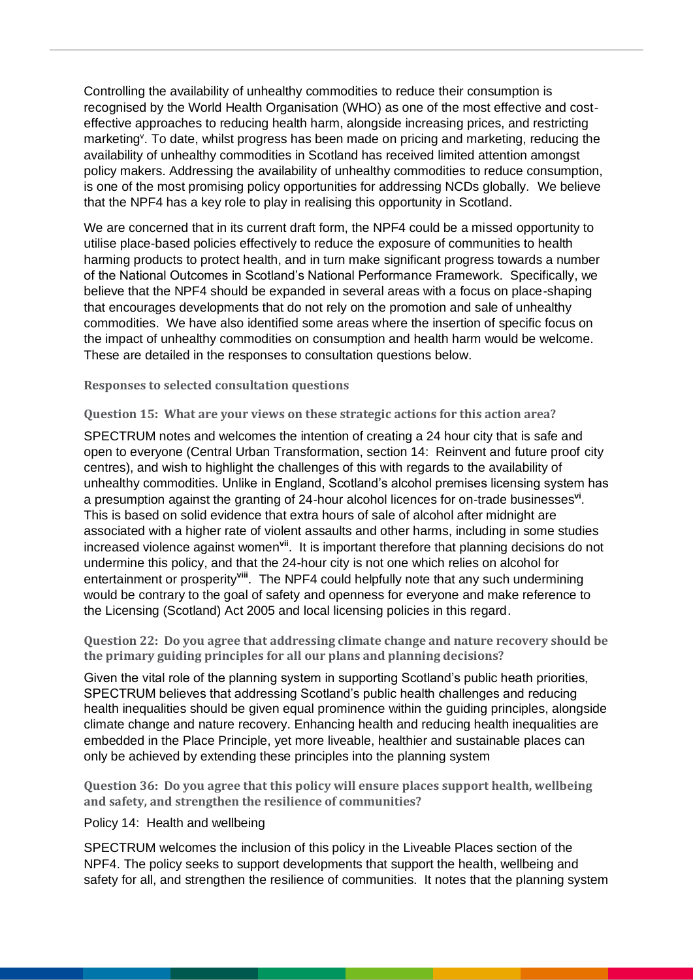Controlling the availability of unhealthy commodities to reduce their consumption is recognised by the World Health Organisation (WHO) as one of the most effective and costeffective approaches to reducing health harm, alongside increasing prices, and restricting marketing<sup>y</sup>. To date, whilst progress has been made on pricing and marketing, reducing the availability of unhealthy commodities in Scotland has received limited attention amongst policy makers. Addressing the availability of unhealthy commodities to reduce consumption, is one of the most promising policy opportunities for addressing NCDs globally. We believe that the NPF4 has a key role to play in realising this opportunity in Scotland.

We are concerned that in its current draft form, the NPF4 could be a missed opportunity to utilise place-based policies effectively to reduce the exposure of communities to health harming products to protect health, and in turn make significant progress towards a number of the National Outcomes in Scotland's National Performance Framework. Specifically, we believe that the NPF4 should be expanded in several areas with a focus on place-shaping that encourages developments that do not rely on the promotion and sale of unhealthy commodities. We have also identified some areas where the insertion of specific focus on the impact of unhealthy commodities on consumption and health harm would be welcome. These are detailed in the responses to consultation questions below.

**Responses to selected consultation questions**

**Question 15: What are your views on these strategic actions for this action area?**

SPECTRUM notes and welcomes the intention of creating a 24 hour city that is safe and open to everyone (Central Urban Transformation, section 14: Reinvent and future proof city centres), and wish to highlight the challenges of this with regards to the availability of unhealthy commodities. Unlike in England, Scotland's alcohol premises licensing system has a presumption against the granting of 24-hour alcohol licences for on-trade businesses**vi** . This is based on solid evidence that extra hours of sale of alcohol after midnight are associated with a higher rate of violent assaults and other harms, including in some studies increased violence against women**vii**. It is important therefore that planning decisions do not undermine this policy, and that the 24-hour city is not one which relies on alcohol for entertainment or prosperity<sup>viii</sup>. The NPF4 could helpfully note that any such undermining would be contrary to the goal of safety and openness for everyone and make reference to the Licensing (Scotland) Act 2005 and local licensing policies in this regard.

**Question 22: Do you agree that addressing climate change and nature recovery should be the primary guiding principles for all our plans and planning decisions?**

Given the vital role of the planning system in supporting Scotland's public heath priorities, SPECTRUM believes that addressing Scotland's public health challenges and reducing health inequalities should be given equal prominence within the guiding principles, alongside climate change and nature recovery. Enhancing health and reducing health inequalities are embedded in the Place Principle, yet more liveable, healthier and sustainable places can only be achieved by extending these principles into the planning system

**Question 36: Do you agree that this policy will ensure places support health, wellbeing and safety, and strengthen the resilience of communities?**

Policy 14: Health and wellbeing

SPECTRUM welcomes the inclusion of this policy in the Liveable Places section of the NPF4. The policy seeks to support developments that support the health, wellbeing and safety for all, and strengthen the resilience of communities. It notes that the planning system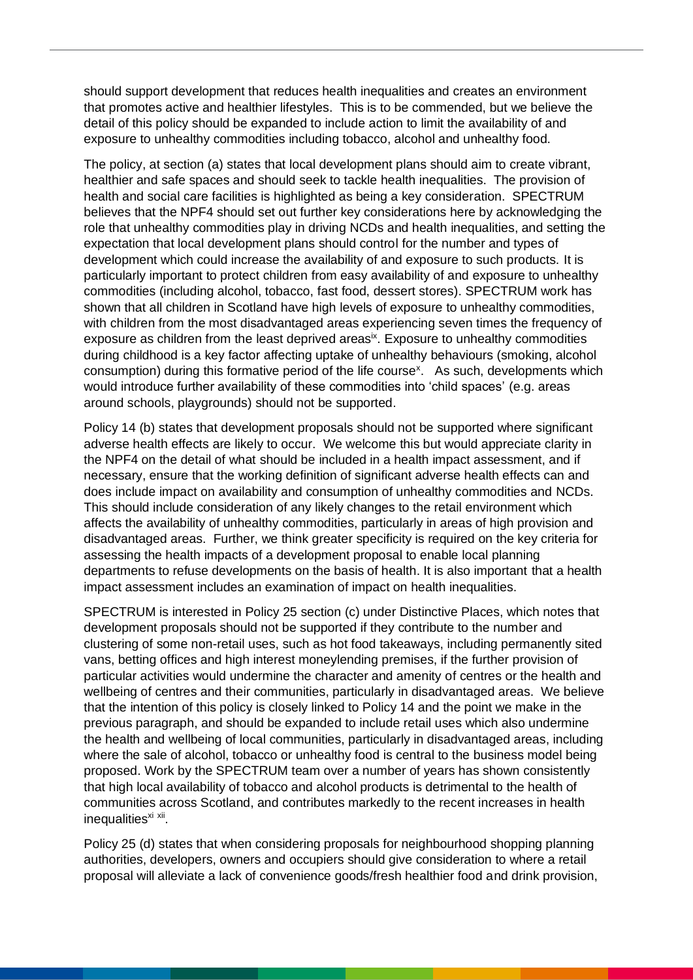should support development that reduces health inequalities and creates an environment that promotes active and healthier lifestyles. This is to be commended, but we believe the detail of this policy should be expanded to include action to limit the availability of and exposure to unhealthy commodities including tobacco, alcohol and unhealthy food.

The policy, at section (a) states that local development plans should aim to create vibrant, healthier and safe spaces and should seek to tackle health inequalities. The provision of health and social care facilities is highlighted as being a key consideration. SPECTRUM believes that the NPF4 should set out further key considerations here by acknowledging the role that unhealthy commodities play in driving NCDs and health inequalities, and setting the expectation that local development plans should control for the number and types of development which could increase the availability of and exposure to such products. It is particularly important to protect children from easy availability of and exposure to unhealthy commodities (including alcohol, tobacco, fast food, dessert stores). SPECTRUM work has shown that all children in Scotland have high levels of exposure to unhealthy commodities, with children from the most disadvantaged areas experiencing seven times the frequency of exposure as children from the least deprived areas<sup>ix</sup>. Exposure to unhealthy commodities during childhood is a key factor affecting uptake of unhealthy behaviours (smoking, alcohol consumption) during this formative period of the life course<sup>x</sup>. As such, developments which would introduce further availability of these commodities into 'child spaces' (e.g. areas around schools, playgrounds) should not be supported.

Policy 14 (b) states that development proposals should not be supported where significant adverse health effects are likely to occur. We welcome this but would appreciate clarity in the NPF4 on the detail of what should be included in a health impact assessment, and if necessary, ensure that the working definition of significant adverse health effects can and does include impact on availability and consumption of unhealthy commodities and NCDs. This should include consideration of any likely changes to the retail environment which affects the availability of unhealthy commodities, particularly in areas of high provision and disadvantaged areas. Further, we think greater specificity is required on the key criteria for assessing the health impacts of a development proposal to enable local planning departments to refuse developments on the basis of health. It is also important that a health impact assessment includes an examination of impact on health inequalities.

SPECTRUM is interested in Policy 25 section (c) under Distinctive Places, which notes that development proposals should not be supported if they contribute to the number and clustering of some non-retail uses, such as hot food takeaways, including permanently sited vans, betting offices and high interest moneylending premises, if the further provision of particular activities would undermine the character and amenity of centres or the health and wellbeing of centres and their communities, particularly in disadvantaged areas. We believe that the intention of this policy is closely linked to Policy 14 and the point we make in the previous paragraph, and should be expanded to include retail uses which also undermine the health and wellbeing of local communities, particularly in disadvantaged areas, including where the sale of alcohol, tobacco or unhealthy food is central to the business model being proposed. Work by the SPECTRUM team over a number of years has shown consistently that high local availability of tobacco and alcohol products is detrimental to the health of communities across Scotland, and contributes markedly to the recent increases in health inequalities<sup>xi xii</sup>.

Policy 25 (d) states that when considering proposals for neighbourhood shopping planning authorities, developers, owners and occupiers should give consideration to where a retail proposal will alleviate a lack of convenience goods/fresh healthier food and drink provision,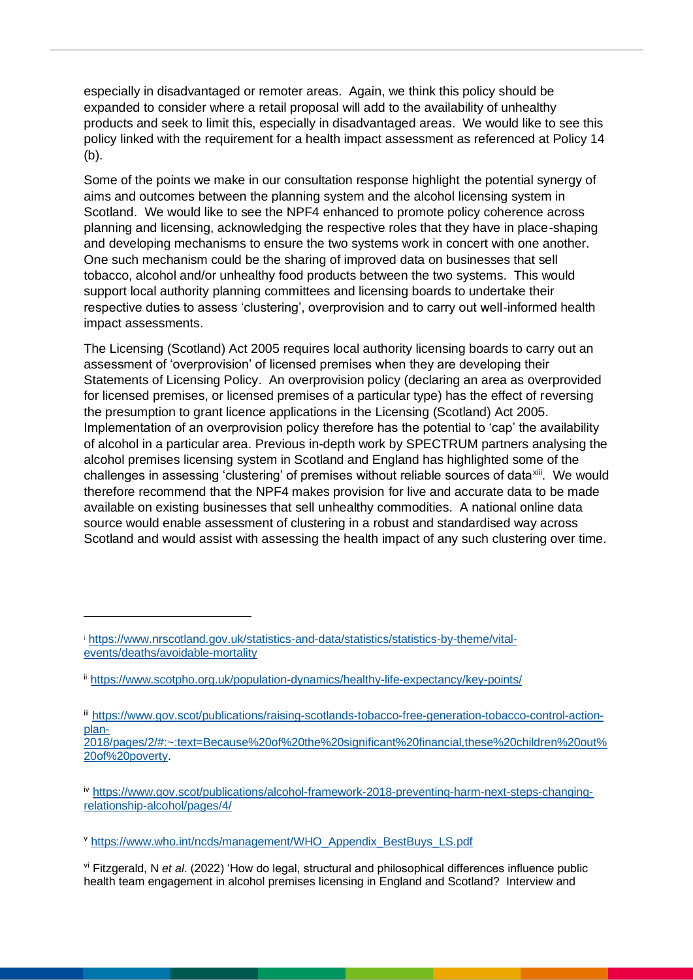especially in disadvantaged or remoter areas. Again, we think this policy should be expanded to consider where a retail proposal will add to the availability of unhealthy products and seek to limit this, especially in disadvantaged areas. We would like to see this policy linked with the requirement for a health impact assessment as referenced at Policy 14 (b).

Some of the points we make in our consultation response highlight the potential synergy of aims and outcomes between the planning system and the alcohol licensing system in Scotland. We would like to see the NPF4 enhanced to promote policy coherence across planning and licensing, acknowledging the respective roles that they have in place-shaping and developing mechanisms to ensure the two systems work in concert with one another. One such mechanism could be the sharing of improved data on businesses that sell tobacco, alcohol and/or unhealthy food products between the two systems. This would support local authority planning committees and licensing boards to undertake their respective duties to assess 'clustering', overprovision and to carry out well-informed health impact assessments.

The Licensing (Scotland) Act 2005 requires local authority licensing boards to carry out an assessment of 'overprovision' of licensed premises when they are developing their Statements of Licensing Policy. An overprovision policy (declaring an area as overprovided for licensed premises, or licensed premises of a particular type) has the effect of reversing the presumption to grant licence applications in the Licensing (Scotland) Act 2005. Implementation of an overprovision policy therefore has the potential to 'cap' the availability of alcohol in a particular area. Previous in-depth work by SPECTRUM partners analysing the alcohol premises licensing system in Scotland and England has highlighted some of the challenges in assessing 'clustering' of premises without reliable sources of data<sup>xiii</sup>. We would therefore recommend that the NPF4 makes provision for live and accurate data to be made available on existing businesses that sell unhealthy commodities. A national online data source would enable assessment of clustering in a robust and standardised way across Scotland and would assist with assessing the health impact of any such clustering over time.

<sup>i</sup> [https://www.nrscotland.gov.uk/statistics-and-data/statistics/statistics-by-theme/vital](https://www.nrscotland.gov.uk/statistics-and-data/statistics/statistics-by-theme/vital-events/deaths/avoidable-mortality)[events/deaths/avoidable-mortality](https://www.nrscotland.gov.uk/statistics-and-data/statistics/statistics-by-theme/vital-events/deaths/avoidable-mortality)

ii <https://www.scotpho.org.uk/population-dynamics/healthy-life-expectancy/key-points/>

iii [https://www.gov.scot/publications/raising-scotlands-tobacco-free-generation-tobacco-control-action](https://www.gov.scot/publications/raising-scotlands-tobacco-free-generation-tobacco-control-action-plan-2018/pages/2/#:~:text=Because%20of%20the%20significant%20financial,these%20children%20out%20of%20poverty)[plan-](https://www.gov.scot/publications/raising-scotlands-tobacco-free-generation-tobacco-control-action-plan-2018/pages/2/#:~:text=Because%20of%20the%20significant%20financial,these%20children%20out%20of%20poverty)

[<sup>2018/</sup>pages/2/#:~:text=Because%20of%20the%20significant%20financial,these%20children%20out%](https://www.gov.scot/publications/raising-scotlands-tobacco-free-generation-tobacco-control-action-plan-2018/pages/2/#:~:text=Because%20of%20the%20significant%20financial,these%20children%20out%20of%20poverty) [20of%20poverty.](https://www.gov.scot/publications/raising-scotlands-tobacco-free-generation-tobacco-control-action-plan-2018/pages/2/#:~:text=Because%20of%20the%20significant%20financial,these%20children%20out%20of%20poverty)

iv [https://www.gov.scot/publications/alcohol-framework-2018-preventing-harm-next-steps-changing](https://www.gov.scot/publications/alcohol-framework-2018-preventing-harm-next-steps-changing-relationship-alcohol/pages/4/)[relationship-alcohol/pages/4/](https://www.gov.scot/publications/alcohol-framework-2018-preventing-harm-next-steps-changing-relationship-alcohol/pages/4/)

<sup>v</sup> [https://www.who.int/ncds/management/WHO\\_Appendix\\_BestBuys\\_LS.pdf](https://www.who.int/ncds/management/WHO_Appendix_BestBuys_LS.pdf)

vi Fitzgerald, N *et al*. (2022) 'How do legal, structural and philosophical differences influence public health team engagement in alcohol premises licensing in England and Scotland? Interview and